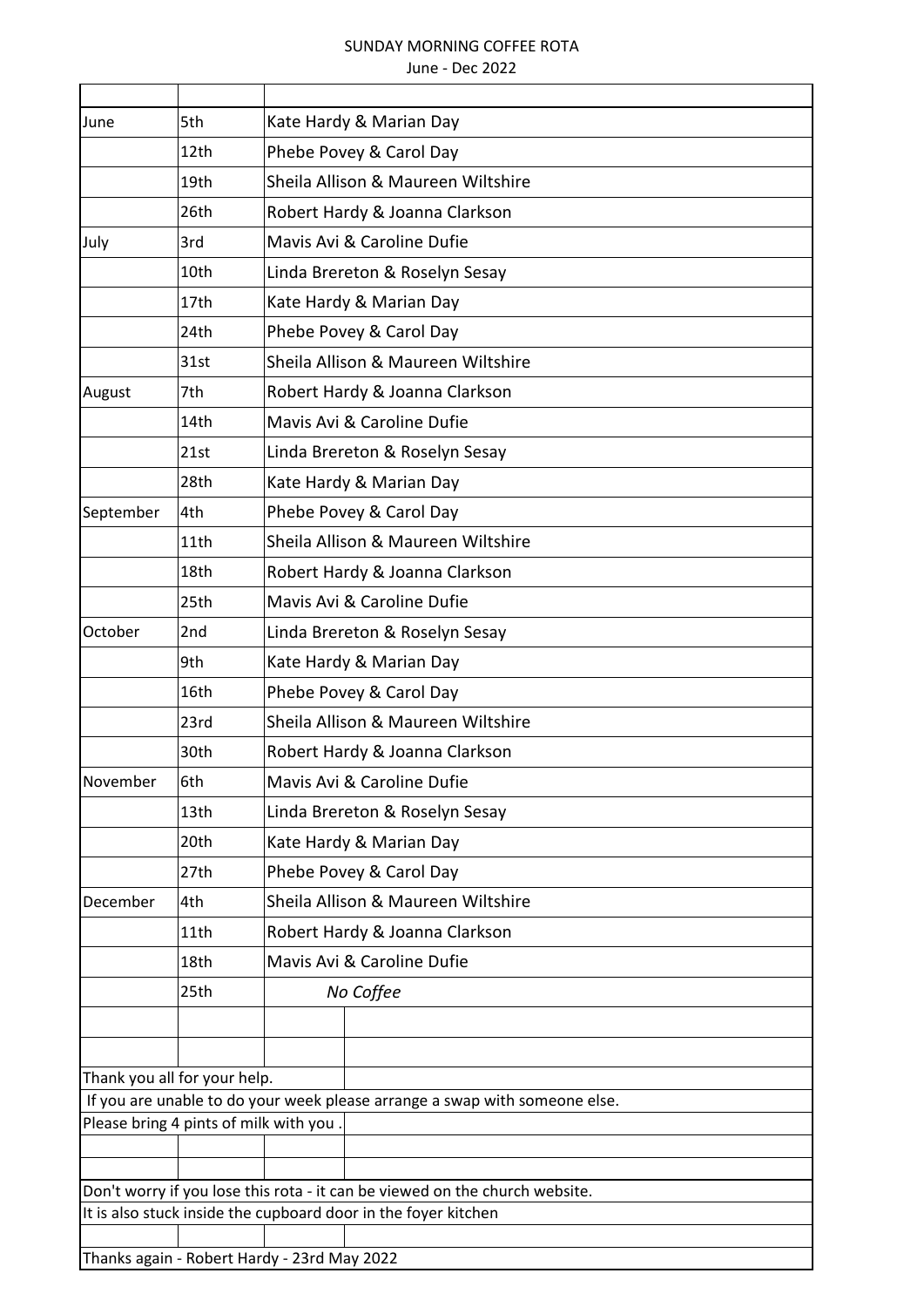## SUNDAY MORNING COFFEE ROTA

## June - Dec 2022

| June                                   | 5th  | Kate Hardy & Marian Day                                                                                                                       |
|----------------------------------------|------|-----------------------------------------------------------------------------------------------------------------------------------------------|
|                                        | 12th | Phebe Povey & Carol Day                                                                                                                       |
|                                        | 19th | Sheila Allison & Maureen Wiltshire                                                                                                            |
|                                        | 26th | Robert Hardy & Joanna Clarkson                                                                                                                |
| July                                   | 3rd  | Mavis Avi & Caroline Dufie                                                                                                                    |
|                                        | 10th | Linda Brereton & Roselyn Sesay                                                                                                                |
|                                        | 17th | Kate Hardy & Marian Day                                                                                                                       |
|                                        | 24th | Phebe Povey & Carol Day                                                                                                                       |
|                                        | 31st | Sheila Allison & Maureen Wiltshire                                                                                                            |
| August                                 | 7th  | Robert Hardy & Joanna Clarkson                                                                                                                |
|                                        | 14th | Mavis Avi & Caroline Dufie                                                                                                                    |
|                                        | 21st | Linda Brereton & Roselyn Sesay                                                                                                                |
|                                        | 28th | Kate Hardy & Marian Day                                                                                                                       |
| September                              | 4th  | Phebe Povey & Carol Day                                                                                                                       |
|                                        | 11th | Sheila Allison & Maureen Wiltshire                                                                                                            |
|                                        | 18th | Robert Hardy & Joanna Clarkson                                                                                                                |
|                                        | 25th | Mavis Avi & Caroline Dufie                                                                                                                    |
| October                                | 2nd  | Linda Brereton & Roselyn Sesay                                                                                                                |
|                                        | 9th  | Kate Hardy & Marian Day                                                                                                                       |
|                                        | 16th | Phebe Povey & Carol Day                                                                                                                       |
|                                        | 23rd | Sheila Allison & Maureen Wiltshire                                                                                                            |
|                                        | 30th | Robert Hardy & Joanna Clarkson                                                                                                                |
| <b>November</b>                        | 6th  | Mavis Avi & Caroline Dufie                                                                                                                    |
|                                        | 13th | Linda Brereton & Roselyn Sesay                                                                                                                |
|                                        | 20th | Kate Hardy & Marian Day                                                                                                                       |
|                                        | 27th | Phebe Povey & Carol Day                                                                                                                       |
| December                               | 4th  | Sheila Allison & Maureen Wiltshire                                                                                                            |
|                                        | 11th | Robert Hardy & Joanna Clarkson                                                                                                                |
|                                        | 18th | Mavis Avi & Caroline Dufie                                                                                                                    |
|                                        | 25th | No Coffee                                                                                                                                     |
|                                        |      |                                                                                                                                               |
|                                        |      |                                                                                                                                               |
| Thank you all for your help.           |      |                                                                                                                                               |
| Please bring 4 pints of milk with you. |      | If you are unable to do your week please arrange a swap with someone else.                                                                    |
|                                        |      |                                                                                                                                               |
|                                        |      |                                                                                                                                               |
|                                        |      | Don't worry if you lose this rota - it can be viewed on the church website.<br>It is also stuck inside the cupboard door in the foyer kitchen |
|                                        |      |                                                                                                                                               |
|                                        |      | Thanks again - Robert Hardy - 23rd May 2022                                                                                                   |